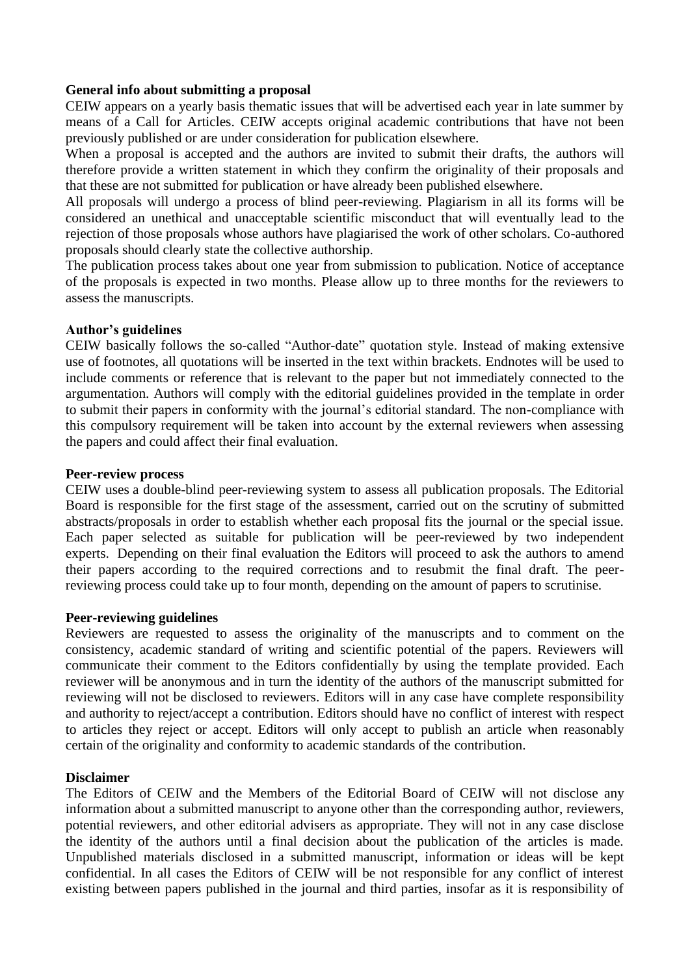## **General info about submitting a proposal**

CEIW appears on a yearly basis thematic issues that will be advertised each year in late summer by means of a Call for Articles. CEIW accepts original academic contributions that have not been previously published or are under consideration for publication elsewhere.

When a proposal is accepted and the authors are invited to submit their drafts, the authors will therefore provide a written statement in which they confirm the originality of their proposals and that these are not submitted for publication or have already been published elsewhere.

All proposals will undergo a process of blind peer-reviewing. Plagiarism in all its forms will be considered an unethical and unacceptable scientific misconduct that will eventually lead to the rejection of those proposals whose authors have plagiarised the work of other scholars. Co-authored proposals should clearly state the collective authorship.

The publication process takes about one year from submission to publication. Notice of acceptance of the proposals is expected in two months. Please allow up to three months for the reviewers to assess the manuscripts.

# **Author's guidelines**

CEIW basically follows the so-called "Author-date" quotation style. Instead of making extensive use of footnotes, all quotations will be inserted in the text within brackets. Endnotes will be used to include comments or reference that is relevant to the paper but not immediately connected to the argumentation. Authors will comply with the editorial guidelines provided in the template in order to submit their papers in conformity with the journal's editorial standard. The non-compliance with this compulsory requirement will be taken into account by the external reviewers when assessing the papers and could affect their final evaluation.

# **Peer-review process**

CEIW uses a double-blind peer-reviewing system to assess all publication proposals. The Editorial Board is responsible for the first stage of the assessment, carried out on the scrutiny of submitted abstracts/proposals in order to establish whether each proposal fits the journal or the special issue. Each paper selected as suitable for publication will be peer-reviewed by two independent experts. Depending on their final evaluation the Editors will proceed to ask the authors to amend their papers according to the required corrections and to resubmit the final draft. The peerreviewing process could take up to four month, depending on the amount of papers to scrutinise.

### **Peer-reviewing guidelines**

Reviewers are requested to assess the originality of the manuscripts and to comment on the consistency, academic standard of writing and scientific potential of the papers. Reviewers will communicate their comment to the Editors confidentially by using the template provided. Each reviewer will be anonymous and in turn the identity of the authors of the manuscript submitted for reviewing will not be disclosed to reviewers. Editors will in any case have complete responsibility and authority to reject/accept a contribution. Editors should have no conflict of interest with respect to articles they reject or accept. Editors will only accept to publish an article when reasonably certain of the originality and conformity to academic standards of the contribution.

### **Disclaimer**

The Editors of CEIW and the Members of the Editorial Board of CEIW will not disclose any information about a submitted manuscript to anyone other than the corresponding author, reviewers, potential reviewers, and other editorial advisers as appropriate. They will not in any case disclose the identity of the authors until a final decision about the publication of the articles is made. Unpublished materials disclosed in a submitted manuscript, information or ideas will be kept confidential. In all cases the Editors of CEIW will be not responsible for any conflict of interest existing between papers published in the journal and third parties, insofar as it is responsibility of